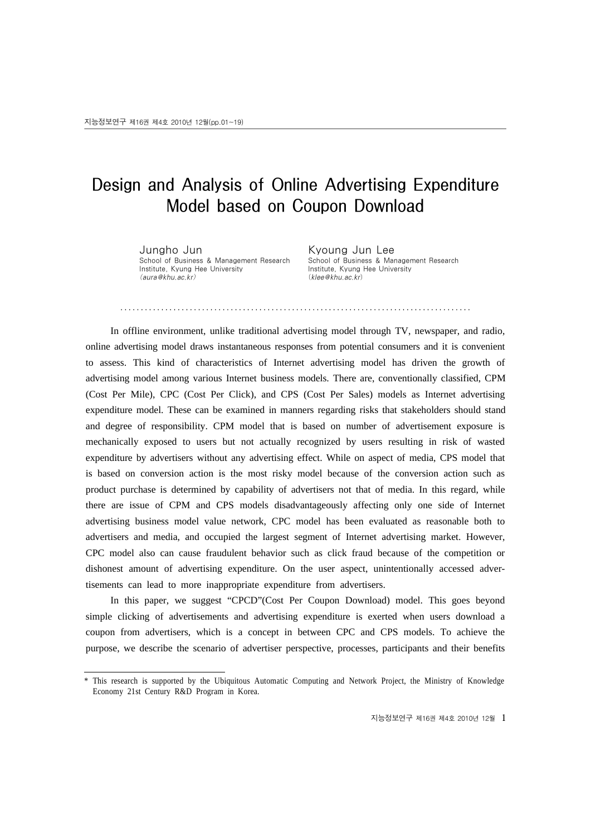# Design and Analysis of Online Advertising Expenditure Model based on Coupon Download

․․․․․․․․․․․․․․․․․․․․․․․․․․․․․․․․․․․․․․․․․․․․․․․․․․․․․․․․․․․․․․․․․․․․․․․․․․․․․․․․․․․․․․

Jungho Jun School of Business & Management Research Institute, Kyung Hee University (aura@khu.ac.kr)

Kyoung Jun Lee School of Business & Management Research Institute, Kyung Hee University (klee@khu.ac.kr)

In offline environment, unlike traditional advertising model through TV, newspaper, and radio, online advertising model draws instantaneous responses from potential consumers and it is convenient to assess. This kind of characteristics of Internet advertising model has driven the growth of advertising model among various Internet business models. There are, conventionally classified, CPM (Cost Per Mile), CPC (Cost Per Click), and CPS (Cost Per Sales) models as Internet advertising expenditure model. These can be examined in manners regarding risks that stakeholders should stand and degree of responsibility. CPM model that is based on number of advertisement exposure is mechanically exposed to users but not actually recognized by users resulting in risk of wasted expenditure by advertisers without any advertising effect. While on aspect of media, CPS model that is based on conversion action is the most risky model because of the conversion action such as product purchase is determined by capability of advertisers not that of media. In this regard, while there are issue of CPM and CPS models disadvantageously affecting only one side of Internet advertising business model value network, CPC model has been evaluated as reasonable both to advertisers and media, and occupied the largest segment of Internet advertising market. However, CPC model also can cause fraudulent behavior such as click fraud because of the competition or dishonest amount of advertising expenditure. On the user aspect, unintentionally accessed advertisements can lead to more inappropriate expenditure from advertisers.

In this paper, we suggest "CPCD"(Cost Per Coupon Download) model. This goes beyond simple clicking of advertisements and advertising expenditure is exerted when users download a coupon from advertisers, which is a concept in between CPC and CPS models. To achieve the purpose, we describe the scenario of advertiser perspective, processes, participants and their benefits

<sup>\*</sup> This research is supported by the Ubiquitous Automatic Computing and Network Project, the Ministry of Knowledge Economy 21st Century R&D Program in Korea.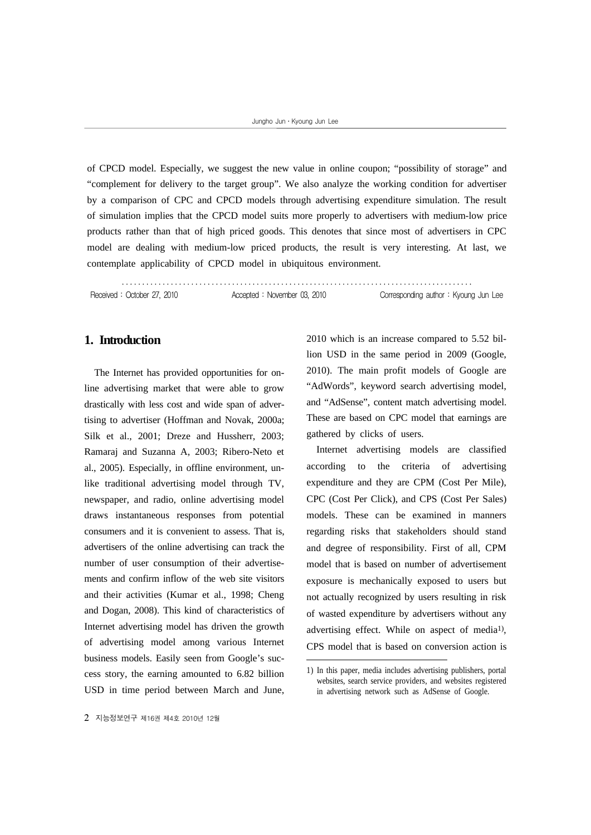of CPCD model. Especially, we suggest the new value in online coupon; "possibility of storage" and "complement for delivery to the target group". We also analyze the working condition for advertiser by a comparison of CPC and CPCD models through advertising expenditure simulation. The result of simulation implies that the CPCD model suits more properly to advertisers with medium-low price products rather than that of high priced goods. This denotes that since most of advertisers in CPC model are dealing with medium-low priced products, the result is very interesting. At last, we contemplate applicability of CPCD model in ubiquitous environment.

․․․․․․․․․․․․․․․․․․․․․․․․․․․․․․․․․․․․․․․․․․․․․․․․․․․․․․․․․․․․․․․․․․․․․․․․․․․․․․․․․․․․․․

Received : October 27, 2010 Corresponding author : Kyoung Jun Lee

#### **1. Introduction**

The Internet has provided opportunities for online advertising market that were able to grow drastically with less cost and wide span of advertising to advertiser (Hoffman and Novak, 2000a; Silk et al., 2001; Dreze and Hussherr, 2003; Ramaraj and Suzanna A, 2003; Ribero-Neto et al., 2005). Especially, in offline environment, unlike traditional advertising model through TV, newspaper, and radio, online advertising model draws instantaneous responses from potential consumers and it is convenient to assess. That is, advertisers of the online advertising can track the number of user consumption of their advertisements and confirm inflow of the web site visitors and their activities (Kumar et al., 1998; Cheng and Dogan, 2008). This kind of characteristics of Internet advertising model has driven the growth of advertising model among various Internet business models. Easily seen from Google's success story, the earning amounted to 6.82 billion USD in time period between March and June,

2010 which is an increase compared to 5.52 billion USD in the same period in 2009 (Google, 2010). The main profit models of Google are "AdWords", keyword search advertising model, and "AdSense", content match advertising model. These are based on CPC model that earnings are gathered by clicks of users.

Internet advertising models are classified according to the criteria of advertising expenditure and they are CPM (Cost Per Mile), CPC (Cost Per Click), and CPS (Cost Per Sales) models. These can be examined in manners regarding risks that stakeholders should stand and degree of responsibility. First of all, CPM model that is based on number of advertisement exposure is mechanically exposed to users but not actually recognized by users resulting in risk of wasted expenditure by advertisers without any advertising effect. While on aspect of media1), CPS model that is based on conversion action is

<sup>1)</sup> In this paper, media includes advertising publishers, portal websites, search service providers, and websites registered in advertising network such as AdSense of Google.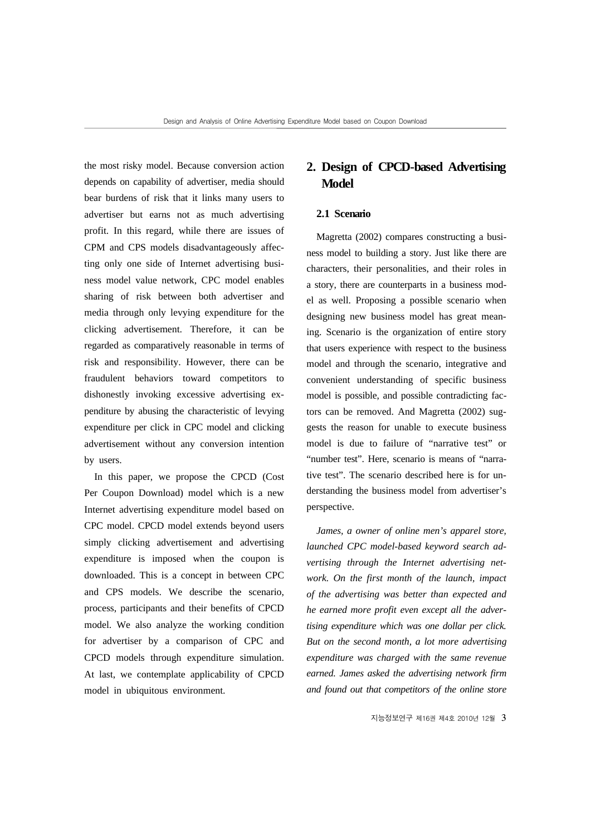the most risky model. Because conversion action depends on capability of advertiser, media should bear burdens of risk that it links many users to advertiser but earns not as much advertising profit. In this regard, while there are issues of CPM and CPS models disadvantageously affecting only one side of Internet advertising business model value network, CPC model enables sharing of risk between both advertiser and media through only levying expenditure for the clicking advertisement. Therefore, it can be regarded as comparatively reasonable in terms of risk and responsibility. However, there can be fraudulent behaviors toward competitors to dishonestly invoking excessive advertising expenditure by abusing the characteristic of levying expenditure per click in CPC model and clicking advertisement without any conversion intention by users.

In this paper, we propose the CPCD (Cost Per Coupon Download) model which is a new Internet advertising expenditure model based on CPC model. CPCD model extends beyond users simply clicking advertisement and advertising expenditure is imposed when the coupon is downloaded. This is a concept in between CPC and CPS models. We describe the scenario, process, participants and their benefits of CPCD model. We also analyze the working condition for advertiser by a comparison of CPC and CPCD models through expenditure simulation. At last, we contemplate applicability of CPCD model in ubiquitous environment.

## **2. Design of CPCD-based Advertising Model**

#### **2.1 Scenario**

Magretta (2002) compares constructing a business model to building a story. Just like there are characters, their personalities, and their roles in a story, there are counterparts in a business model as well. Proposing a possible scenario when designing new business model has great meaning. Scenario is the organization of entire story that users experience with respect to the business model and through the scenario, integrative and convenient understanding of specific business model is possible, and possible contradicting factors can be removed. And Magretta (2002) suggests the reason for unable to execute business model is due to failure of "narrative test" or "number test". Here, scenario is means of "narrative test". The scenario described here is for understanding the business model from advertiser's perspective.

*James, a owner of online men's apparel store, launched CPC model-based keyword search advertising through the Internet advertising network. On the first month of the launch, impact of the advertising was better than expected and he earned more profit even except all the advertising expenditure which was one dollar per click. But on the second month, a lot more advertising expenditure was charged with the same revenue earned. James asked the advertising network firm and found out that competitors of the online store*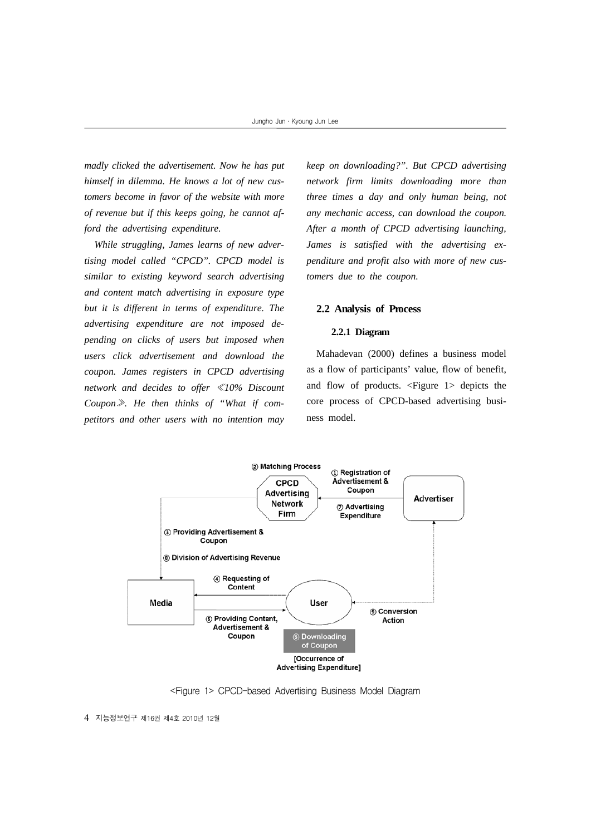*madly clicked the advertisement. Now he has put himself in dilemma. He knows a lot of new customers become in favor of the website with more of revenue but if this keeps going, he cannot afford the advertising expenditure.*

*While struggling, James learns of new advertising model called "CPCD". CPCD model is similar to existing keyword search advertising and content match advertising in exposure type but it is different in terms of expenditure. The advertising expenditure are not imposed depending on clicks of users but imposed when users click advertisement and download the coupon. James registers in CPCD advertising network and decides to offer* ≪*10% Discount Coupon*≫*. He then thinks of "What if competitors and other users with no intention may* 

*keep on downloading?". But CPCD advertising network firm limits downloading more than three times a day and only human being, not any mechanic access, can download the coupon. After a month of CPCD advertising launching, James is satisfied with the advertising expenditure and profit also with more of new customers due to the coupon.*

#### **2.2 Analysis of Process**

#### **2.2.1 Diagram**

Mahadevan (2000) defines a business model as a flow of participants' value, flow of benefit, and flow of products. <Figure 1> depicts the core process of CPCD-based advertising business model.



<Figure 1> CPCD-based Advertising Business Model Diagram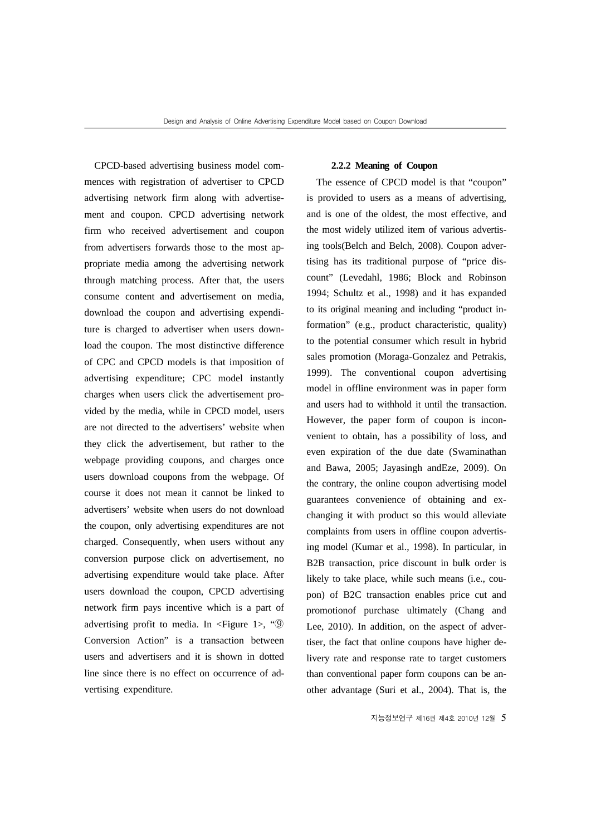CPCD-based advertising business model commences with registration of advertiser to CPCD advertising network firm along with advertisement and coupon. CPCD advertising network firm who received advertisement and coupon from advertisers forwards those to the most appropriate media among the advertising network through matching process. After that, the users consume content and advertisement on media, download the coupon and advertising expenditure is charged to advertiser when users download the coupon. The most distinctive difference of CPC and CPCD models is that imposition of advertising expenditure; CPC model instantly charges when users click the advertisement provided by the media, while in CPCD model, users are not directed to the advertisers' website when they click the advertisement, but rather to the webpage providing coupons, and charges once users download coupons from the webpage. Of course it does not mean it cannot be linked to advertisers' website when users do not download the coupon, only advertising expenditures are not charged. Consequently, when users without any conversion purpose click on advertisement, no advertising expenditure would take place. After users download the coupon, CPCD advertising network firm pays incentive which is a part of advertising profit to media. In  $\leq$  Figure 1>, " $\circ$ Conversion Action" is a transaction between users and advertisers and it is shown in dotted line since there is no effect on occurrence of advertising expenditure.

#### **2.2.2 Meaning of Coupon**

The essence of CPCD model is that "coupon" is provided to users as a means of advertising, and is one of the oldest, the most effective, and the most widely utilized item of various advertising tools(Belch and Belch, 2008). Coupon advertising has its traditional purpose of "price discount" (Levedahl, 1986; Block and Robinson 1994; Schultz et al., 1998) and it has expanded to its original meaning and including "product information" (e.g., product characteristic, quality) to the potential consumer which result in hybrid sales promotion (Moraga-Gonzalez and Petrakis, 1999). The conventional coupon advertising model in offline environment was in paper form and users had to withhold it until the transaction. However, the paper form of coupon is inconvenient to obtain, has a possibility of loss, and even expiration of the due date (Swaminathan and Bawa, 2005; Jayasingh andEze, 2009). On the contrary, the online coupon advertising model guarantees convenience of obtaining and exchanging it with product so this would alleviate complaints from users in offline coupon advertising model (Kumar et al., 1998). In particular, in B2B transaction, price discount in bulk order is likely to take place, while such means (i.e., coupon) of B2C transaction enables price cut and promotionof purchase ultimately (Chang and Lee, 2010). In addition, on the aspect of advertiser, the fact that online coupons have higher delivery rate and response rate to target customers than conventional paper form coupons can be another advantage (Suri et al., 2004). That is, the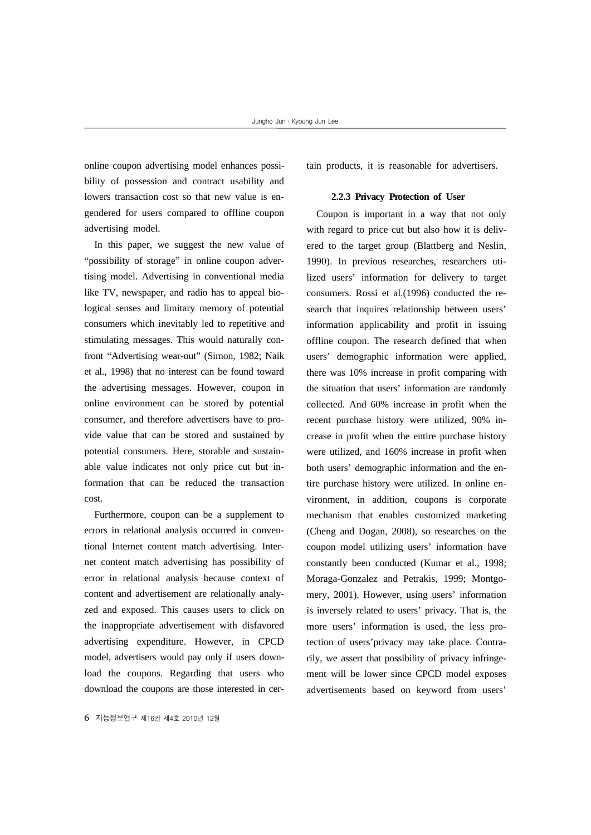online coupon advertising model enhances possibility of possession and contract usability and lowers transaction cost so that new value is engendered for users compared to offline coupon advertising model.

In this paper, we suggest the new value of "possibility of storage" in online coupon advertising model. Advertising in conventional media like TV, newspaper, and radio has to appeal biological senses and limitary memory of potential consumers which inevitably led to repetitive and stimulating messages. This would naturally confront "Advertising wear-out" (Simon, 1982; Naik et al., 1998) that no interest can be found toward the advertising messages. However, coupon in online environment can be stored by potential consumer, and therefore advertisers have to provide value that can be stored and sustained by potential consumers. Here, storable and sustainable value indicates not only price cut but information that can be reduced the transaction cost.

Furthermore, coupon can be a supplement to errors in relational analysis occurred in conventional Internet content match advertising. Internet content match advertising has possibility of error in relational analysis because context of content and advertisement are relationally analyzed and exposed. This causes users to click on the inappropriate advertisement with disfavored advertising expenditure. However, in CPCD model, advertisers would pay only if users download the coupons. Regarding that users who download the coupons are those interested in cer-

6 지능정보연구 제16권 제4호 2010년 12월

tain products, it is reasonable for advertisers.

#### **2.2.3 Privacy Protection of User**

Coupon is important in a way that not only with regard to price cut but also how it is delivered to the target group (Blattberg and Neslin, 1990). In previous researches, researchers utilized users' information for delivery to target consumers. Rossi et al.(1996) conducted the research that inquires relationship between users' information applicability and profit in issuing offline coupon. The research defined that when users' demographic information were applied, there was 10% increase in profit comparing with the situation that users' information are randomly collected. And 60% increase in profit when the recent purchase history were utilized, 90% increase in profit when the entire purchase history were utilized, and 160% increase in profit when both users' demographic information and the entire purchase history were utilized. In online environment, in addition, coupons is corporate mechanism that enables customized marketing (Cheng and Dogan, 2008), so researches on the coupon model utilizing users' information have constantly been conducted (Kumar et al., 1998; Moraga-Gonzalez and Petrakis, 1999; Montgomery, 2001). However, using users' information is inversely related to users' privacy. That is, the more users' information is used, the less protection of users'privacy may take place. Contrarily, we assert that possibility of privacy infringement will be lower since CPCD model exposes advertisements based on keyword from users'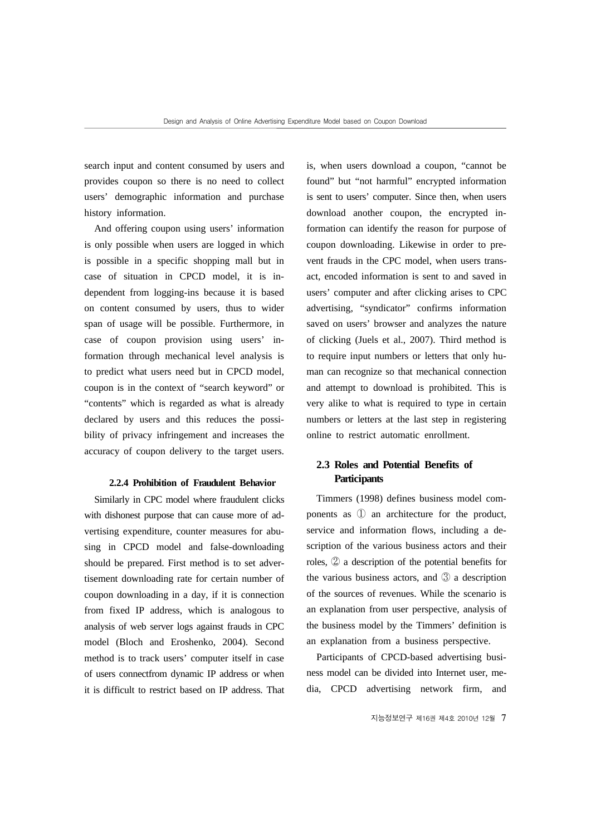search input and content consumed by users and provides coupon so there is no need to collect users' demographic information and purchase history information.

And offering coupon using users' information is only possible when users are logged in which is possible in a specific shopping mall but in case of situation in CPCD model, it is independent from logging-ins because it is based on content consumed by users, thus to wider span of usage will be possible. Furthermore, in case of coupon provision using users' information through mechanical level analysis is to predict what users need but in CPCD model, coupon is in the context of "search keyword" or "contents" which is regarded as what is already declared by users and this reduces the possibility of privacy infringement and increases the accuracy of coupon delivery to the target users.

#### **2.2.4 Prohibition of Fraudulent Behavior**

Similarly in CPC model where fraudulent clicks with dishonest purpose that can cause more of advertising expenditure, counter measures for abusing in CPCD model and false-downloading should be prepared. First method is to set advertisement downloading rate for certain number of coupon downloading in a day, if it is connection from fixed IP address, which is analogous to analysis of web server logs against frauds in CPC model (Bloch and Eroshenko, 2004). Second method is to track users' computer itself in case of users connectfrom dynamic IP address or when it is difficult to restrict based on IP address. That

is, when users download a coupon, "cannot be found" but "not harmful" encrypted information is sent to users' computer. Since then, when users download another coupon, the encrypted information can identify the reason for purpose of coupon downloading. Likewise in order to prevent frauds in the CPC model, when users transact, encoded information is sent to and saved in users' computer and after clicking arises to CPC advertising, "syndicator" confirms information saved on users' browser and analyzes the nature of clicking (Juels et al., 2007). Third method is to require input numbers or letters that only human can recognize so that mechanical connection and attempt to download is prohibited. This is very alike to what is required to type in certain numbers or letters at the last step in registering online to restrict automatic enrollment.

#### **2.3 Roles and Potential Benefits of Participants**

Timmers (1998) defines business model components as ① an architecture for the product, service and information flows, including a description of the various business actors and their roles, ② a description of the potential benefits for the various business actors, and ③ a description of the sources of revenues. While the scenario is an explanation from user perspective, analysis of the business model by the Timmers' definition is an explanation from a business perspective.

Participants of CPCD-based advertising business model can be divided into Internet user, media, CPCD advertising network firm, and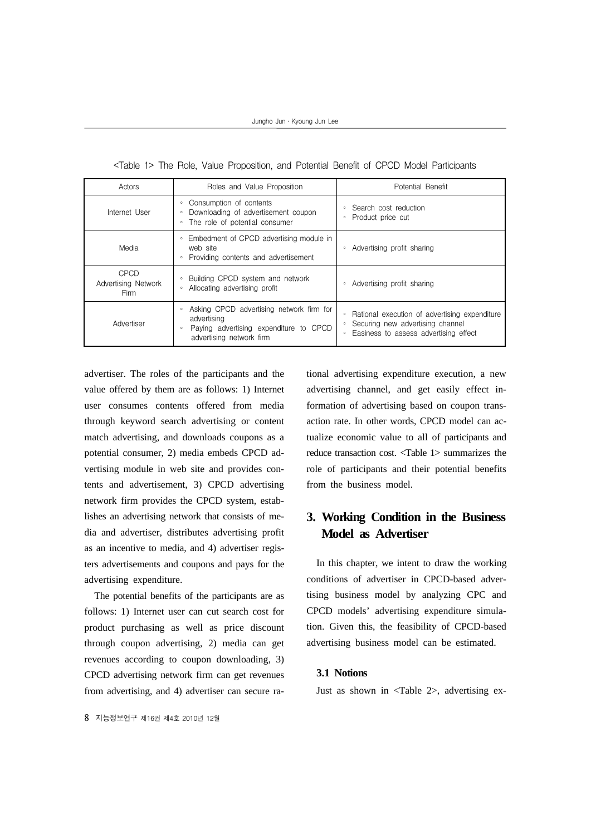| Actors                                     | Roles and Value Proposition                                                                                                                         | Potential Benefit                                                                                                                                |  |
|--------------------------------------------|-----------------------------------------------------------------------------------------------------------------------------------------------------|--------------------------------------------------------------------------------------------------------------------------------------------------|--|
| Internet User                              | Consumption of contents<br>$\circ$<br>Downloading of advertisement coupon<br>$\circ$<br>The role of potential consumer<br>$\circ$                   | Search cost reduction<br>$\circ$<br>Product price cut<br>$\circ$                                                                                 |  |
| Media                                      | Embedment of CPCD advertising module in<br>$\circ$<br>web site<br>Providing contents and advertisement<br>$\circ$                                   | Advertising profit sharing<br>$\circ$                                                                                                            |  |
| CPCD<br>Advertising Network<br><b>Firm</b> | Building CPCD system and network<br>$\circ$<br>Allocating advertising profit<br>$\circ$                                                             | Advertising profit sharing<br>$\circ$                                                                                                            |  |
| Advertiser                                 | Asking CPCD advertising network firm for<br>$\circ$<br>advertising<br>Paying advertising expenditure to CPCD<br>$\circ$<br>advertising network firm | Rational execution of advertising expenditure<br>$\circ$<br>Securing new advertising channel<br>Easiness to assess advertising effect<br>$\circ$ |  |

<Table 1> The Role, Value Proposition, and Potential Benefit of CPCD Model Participants

advertiser. The roles of the participants and the value offered by them are as follows: 1) Internet user consumes contents offered from media through keyword search advertising or content match advertising, and downloads coupons as a potential consumer, 2) media embeds CPCD advertising module in web site and provides contents and advertisement, 3) CPCD advertising network firm provides the CPCD system, establishes an advertising network that consists of media and advertiser, distributes advertising profit as an incentive to media, and 4) advertiser registers advertisements and coupons and pays for the advertising expenditure.

The potential benefits of the participants are as follows: 1) Internet user can cut search cost for product purchasing as well as price discount through coupon advertising, 2) media can get revenues according to coupon downloading, 3) CPCD advertising network firm can get revenues from advertising, and 4) advertiser can secure rational advertising expenditure execution, a new advertising channel, and get easily effect information of advertising based on coupon transaction rate. In other words, CPCD model can actualize economic value to all of participants and reduce transaction cost. <Table 1> summarizes the role of participants and their potential benefits from the business model.

## **3. Working Condition in the Business Model as Advertiser**

In this chapter, we intent to draw the working conditions of advertiser in CPCD-based advertising business model by analyzing CPC and CPCD models' advertising expenditure simulation. Given this, the feasibility of CPCD-based advertising business model can be estimated.

#### **3.1 Notions**

Just as shown in <Table 2>, advertising ex-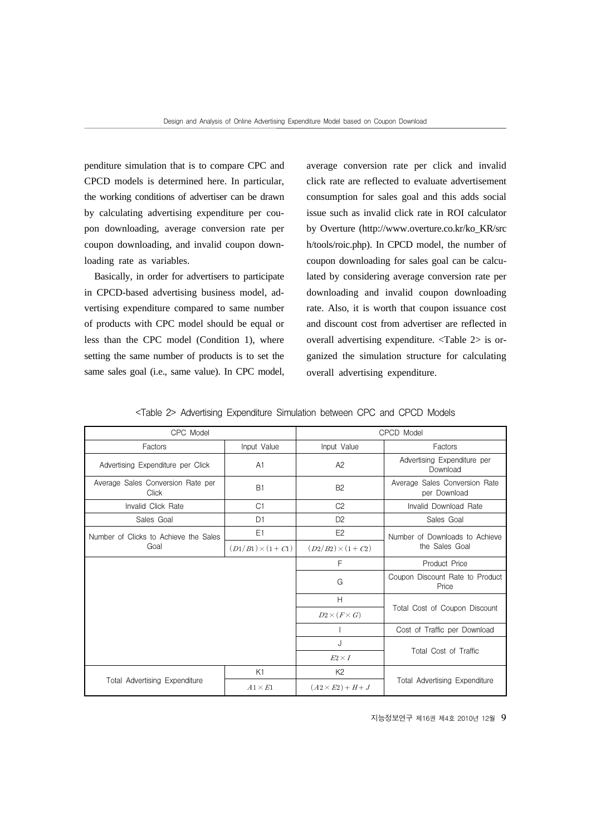penditure simulation that is to compare CPC and CPCD models is determined here. In particular, the working conditions of advertiser can be drawn by calculating advertising expenditure per coupon downloading, average conversion rate per coupon downloading, and invalid coupon downloading rate as variables.

Basically, in order for advertisers to participate in CPCD-based advertising business model, advertising expenditure compared to same number of products with CPC model should be equal or less than the CPC model (Condition 1), where setting the same number of products is to set the same sales goal (i.e., same value). In CPC model, average conversion rate per click and invalid click rate are reflected to evaluate advertisement consumption for sales goal and this adds social issue such as invalid click rate in ROI calculator by Overture (http://www.overture.co.kr/ko\_KR/src h/tools/roic.php). In CPCD model, the number of coupon downloading for sales goal can be calculated by considering average conversion rate per downloading and invalid coupon downloading rate. Also, it is worth that coupon issuance cost and discount cost from advertiser are reflected in overall advertising expenditure. <Table 2> is organized the simulation structure for calculating overall advertising expenditure.

<Table 2> Advertising Expenditure Simulation between CPC and CPCD Models

| CPC Model                                         |                         | CPCD Model              |                                                                           |  |
|---------------------------------------------------|-------------------------|-------------------------|---------------------------------------------------------------------------|--|
| Factors                                           | Input Value             | Input Value             | Factors                                                                   |  |
| Advertising Expenditure per Click                 | A1                      | A2                      | Advertising Expenditure per<br>Download                                   |  |
| Average Sales Conversion Rate per<br><b>Click</b> | B1                      | B <sub>2</sub>          | Average Sales Conversion Rate<br>per Download                             |  |
| Invalid Click Rate                                | C <sub>1</sub>          | C <sub>2</sub>          | Invalid Download Rate                                                     |  |
| Sales Goal                                        | D1                      | D <sub>2</sub>          | Sales Goal                                                                |  |
| Number of Clicks to Achieve the Sales             | E1                      | F <sub>2</sub>          | Number of Downloads to Achieve                                            |  |
| Goal                                              | $(D1/B1) \times (1+C1)$ | $(D2/B2) \times (1+C2)$ | the Sales Goal                                                            |  |
|                                                   |                         | F                       | Product Price                                                             |  |
|                                                   |                         | G                       | Coupon Discount Rate to Product<br>Price<br>Total Cost of Coupon Discount |  |
|                                                   |                         | H                       |                                                                           |  |
|                                                   |                         | $D2\times (F\times G)$  |                                                                           |  |
|                                                   |                         |                         | Cost of Traffic per Download                                              |  |
|                                                   |                         | J.                      |                                                                           |  |
|                                                   |                         | $E2 \times I$           | Total Cost of Traffic                                                     |  |
|                                                   | K1                      | K <sub>2</sub>          |                                                                           |  |
| <b>Total Advertising Expenditure</b>              | $A1 \times E1$          | $(A2\times E2) + H + J$ | Total Advertising Expenditure                                             |  |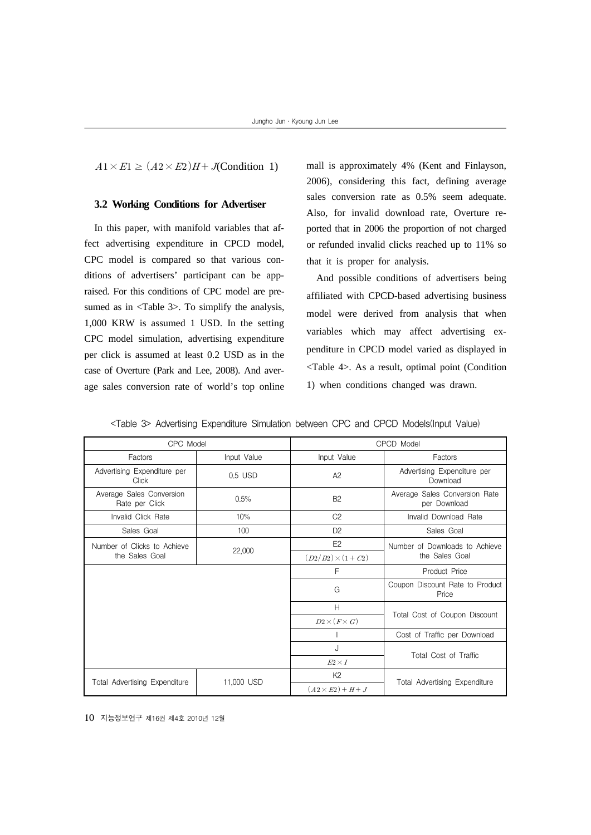$A1 \times E1 \geq (A2 \times E2)H + J(Condition 1)$ 

#### **3.2 Working Conditions for Advertiser**

In this paper, with manifold variables that affect advertising expenditure in CPCD model, CPC model is compared so that various conditions of advertisers' participant can be appraised. For this conditions of CPC model are presumed as in <Table 3>. To simplify the analysis, 1,000 KRW is assumed 1 USD. In the setting CPC model simulation, advertising expenditure per click is assumed at least 0.2 USD as in the case of Overture (Park and Lee, 2008). And average sales conversion rate of world's top online

mall is approximately 4% (Kent and Finlayson, 2006), considering this fact, defining average sales conversion rate as 0.5% seem adequate. Also, for invalid download rate, Overture reported that in 2006 the proportion of not charged or refunded invalid clicks reached up to 11% so that it is proper for analysis.

And possible conditions of advertisers being affiliated with CPCD-based advertising business model were derived from analysis that when variables which may affect advertising expenditure in CPCD model varied as displayed in <Table 4>. As a result, optimal point (Condition 1) when conditions changed was drawn.

| CPC Model                                  |             | CPCD Model              |                                               |  |
|--------------------------------------------|-------------|-------------------------|-----------------------------------------------|--|
| Factors                                    | Input Value | Input Value             | Factors                                       |  |
| Advertising Expenditure per<br>Click       | 0.5 USD     | A2                      | Advertising Expenditure per<br>Download       |  |
| Average Sales Conversion<br>Rate per Click | 0.5%        | B <sub>2</sub>          | Average Sales Conversion Rate<br>per Download |  |
| Invalid Click Rate                         | 10%         | C <sub>2</sub>          | Invalid Download Rate                         |  |
| Sales Goal                                 | 100         | D <sub>2</sub>          | Sales Goal                                    |  |
| Number of Clicks to Achieve                |             | E2                      | Number of Downloads to Achieve                |  |
| the Sales Goal                             | 22,000      | $(D2/B2) \times (1+C2)$ | the Sales Goal                                |  |
|                                            |             | F                       | Product Price                                 |  |
|                                            |             | G                       | Coupon Discount Rate to Product<br>Price      |  |
|                                            |             | Н                       |                                               |  |
|                                            |             | $D2\times (F\times G)$  | Total Cost of Coupon Discount                 |  |
|                                            |             |                         | Cost of Traffic per Download                  |  |
|                                            |             | J                       | Total Cost of Traffic                         |  |
|                                            |             | $E2 \times I$           |                                               |  |
|                                            |             | K <sub>2</sub>          |                                               |  |
| Total Advertising Expenditure              | 11,000 USD  | $(A2\times E2) + H + J$ | <b>Total Advertising Expenditure</b>          |  |

<Table 3> Advertising Expenditure Simulation between CPC and CPCD Models(Input Value)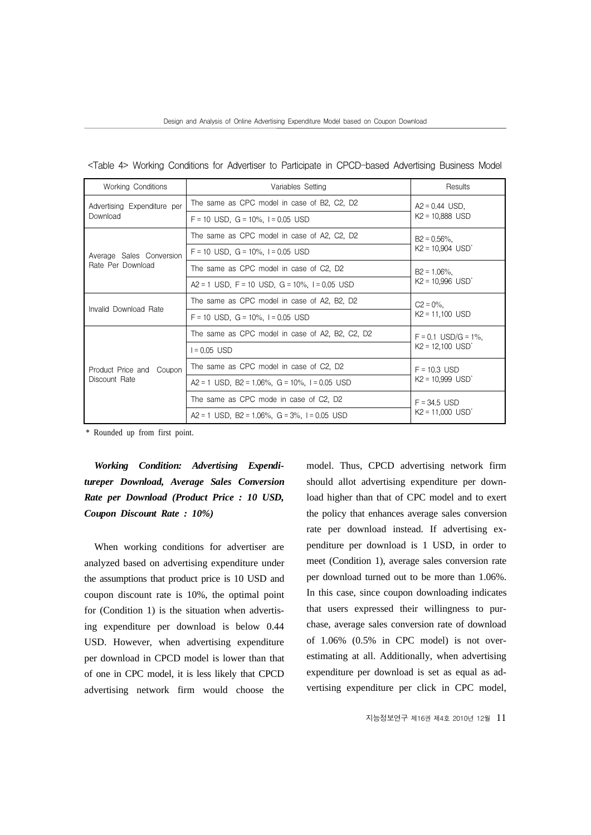| <table 4=""> Working Conditions for Advertiser to Participate in CPCD-based Advertising Business Model</table> |  |  |  |  |  |  |  |
|----------------------------------------------------------------------------------------------------------------|--|--|--|--|--|--|--|
|----------------------------------------------------------------------------------------------------------------|--|--|--|--|--|--|--|

| <b>Working Conditions</b>                     | Variables Setting                               |                                                  |  |
|-----------------------------------------------|-------------------------------------------------|--------------------------------------------------|--|
| Advertising Expenditure per<br>Download       | The same as CPC model in case of B2, C2, D2     | $A2 = 0.44$ USD.<br>$K2 = 10,888$ USD            |  |
|                                               | $F = 10$ USD, $G = 10\%$ , $I = 0.05$ USD       |                                                  |  |
| Average Sales Conversion<br>Rate Per Download | The same as CPC model in case of A2, C2, D2     | $B2 = 0.56\%$ ,                                  |  |
|                                               | $F = 10$ USD, $G = 10\%$ , $I = 0.05$ USD       | $K2 = 10,904$ USD                                |  |
|                                               | The same as CPC model in case of C2, D2         | $B2 = 1.06\%$ ,                                  |  |
|                                               | $A2 = 1$ USD, F = 10 USD, G = 10%, I = 0.05 USD | $K2 = 10,996$ USD <sup>*</sup>                   |  |
| Invalid Download Rate                         | The same as CPC model in case of A2, B2, D2     | $C2 = 0\%$ .<br>$K2 = 11,100$ USD                |  |
|                                               | $F = 10$ USD, $G = 10\%$ , $I = 0.05$ USD       |                                                  |  |
| Product Price and<br>Coupon<br>Discount Rate  | The same as CPC model in case of A2, B2, C2, D2 | $F = 0.1$ USD/G = 1%.                            |  |
|                                               | $= 0.05$ USD                                    | $K2 = 12,100$ USD <sup>*</sup>                   |  |
|                                               | The same as CPC model in case of C2, D2         | $F = 10.3$ USD<br>$K2 = 10,999$ USD <sup>*</sup> |  |
|                                               | $A2 = 1$ USD, B2 = 1.06%, G = 10%, I = 0.05 USD |                                                  |  |
|                                               | The same as CPC mode in case of C2, D2          | $F = 34.5$ USD<br>$K2 = 11,000$ USD <sup>*</sup> |  |
|                                               | $A2 = 1$ USD, B2 = 1.06%, G = 3%, I = 0.05 USD  |                                                  |  |

\* Rounded up from first point.

*Working Condition: Advertising Expenditureper Download, Average Sales Conversion Rate per Download (Product Price : 10 USD, Coupon Discount Rate : 10%)*

When working conditions for advertiser are analyzed based on advertising expenditure under the assumptions that product price is 10 USD and coupon discount rate is 10%, the optimal point for (Condition 1) is the situation when advertising expenditure per download is below 0.44 USD. However, when advertising expenditure per download in CPCD model is lower than that of one in CPC model, it is less likely that CPCD advertising network firm would choose the

model. Thus, CPCD advertising network firm should allot advertising expenditure per download higher than that of CPC model and to exert the policy that enhances average sales conversion rate per download instead. If advertising expenditure per download is 1 USD, in order to meet (Condition 1), average sales conversion rate per download turned out to be more than 1.06%. In this case, since coupon downloading indicates that users expressed their willingness to purchase, average sales conversion rate of download of 1.06% (0.5% in CPC model) is not overestimating at all. Additionally, when advertising expenditure per download is set as equal as advertising expenditure per click in CPC model,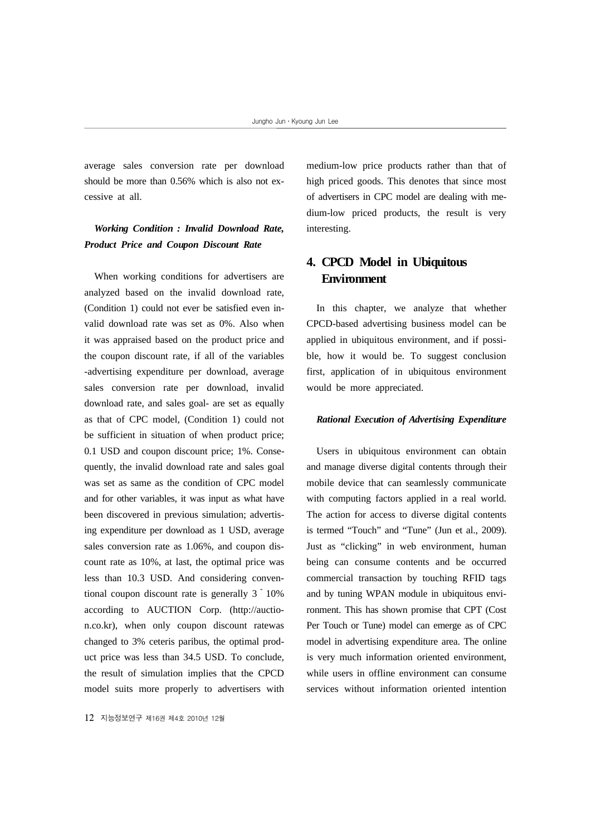average sales conversion rate per download should be more than 0.56% which is also not excessive at all.

### *Working Condition : Invalid Download Rate, Product Price and Coupon Discount Rate*

When working conditions for advertisers are analyzed based on the invalid download rate, (Condition 1) could not ever be satisfied even invalid download rate was set as 0%. Also when it was appraised based on the product price and the coupon discount rate, if all of the variables -advertising expenditure per download, average sales conversion rate per download, invalid download rate, and sales goal- are set as equally as that of CPC model, (Condition 1) could not be sufficient in situation of when product price; 0.1 USD and coupon discount price; 1%. Consequently, the invalid download rate and sales goal was set as same as the condition of CPC model and for other variables, it was input as what have been discovered in previous simulation; advertising expenditure per download as 1 USD, average sales conversion rate as 1.06%, and coupon discount rate as 10%, at last, the optimal price was less than 10.3 USD. And considering conventional coupon discount rate is generally  $3 \degree 10\%$ according to AUCTION Corp. (http://auction.co.kr), when only coupon discount ratewas changed to 3% ceteris paribus, the optimal product price was less than 34.5 USD. To conclude, the result of simulation implies that the CPCD model suits more properly to advertisers with

12 지능정보연구 제16권 제4호 2010년 12월

medium-low price products rather than that of high priced goods. This denotes that since most of advertisers in CPC model are dealing with medium-low priced products, the result is very interesting.

## **4. CPCD Model in Ubiquitous Environment**

In this chapter, we analyze that whether CPCD-based advertising business model can be applied in ubiquitous environment, and if possible, how it would be. To suggest conclusion first, application of in ubiquitous environment would be more appreciated.

#### *Rational Execution of Advertising Expenditure*

Users in ubiquitous environment can obtain and manage diverse digital contents through their mobile device that can seamlessly communicate with computing factors applied in a real world. The action for access to diverse digital contents is termed "Touch" and "Tune" (Jun et al., 2009). Just as "clicking" in web environment, human being can consume contents and be occurred commercial transaction by touching RFID tags and by tuning WPAN module in ubiquitous environment. This has shown promise that CPT (Cost Per Touch or Tune) model can emerge as of CPC model in advertising expenditure area. The online is very much information oriented environment, while users in offline environment can consume services without information oriented intention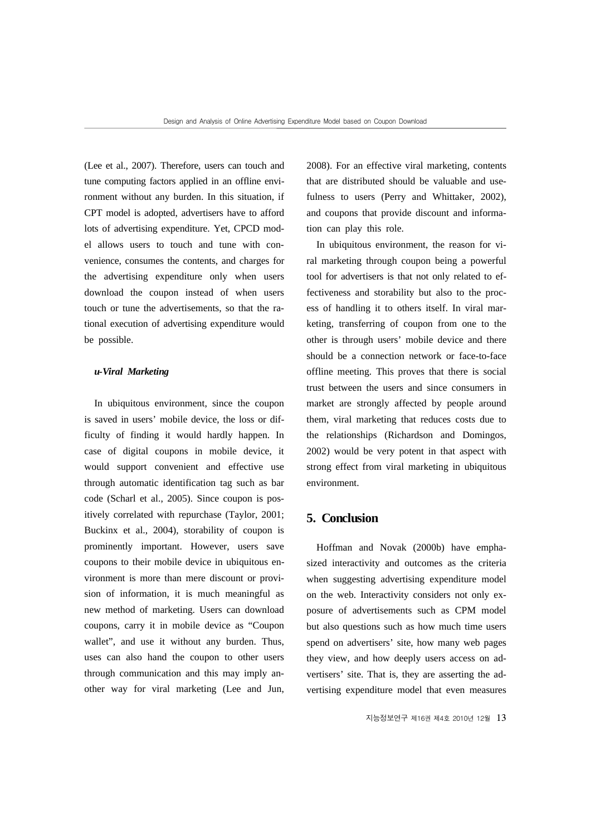(Lee et al., 2007). Therefore, users can touch and tune computing factors applied in an offline environment without any burden. In this situation, if CPT model is adopted, advertisers have to afford lots of advertising expenditure. Yet, CPCD model allows users to touch and tune with convenience, consumes the contents, and charges for the advertising expenditure only when users download the coupon instead of when users touch or tune the advertisements, so that the rational execution of advertising expenditure would be possible.

#### *u-Viral Marketing*

In ubiquitous environment, since the coupon is saved in users' mobile device, the loss or difficulty of finding it would hardly happen. In case of digital coupons in mobile device, it would support convenient and effective use through automatic identification tag such as bar code (Scharl et al., 2005). Since coupon is positively correlated with repurchase (Taylor, 2001; Buckinx et al., 2004), storability of coupon is prominently important. However, users save coupons to their mobile device in ubiquitous environment is more than mere discount or provision of information, it is much meaningful as new method of marketing. Users can download coupons, carry it in mobile device as "Coupon wallet", and use it without any burden. Thus, uses can also hand the coupon to other users through communication and this may imply another way for viral marketing (Lee and Jun,

2008). For an effective viral marketing, contents that are distributed should be valuable and usefulness to users (Perry and Whittaker, 2002), and coupons that provide discount and information can play this role.

In ubiquitous environment, the reason for viral marketing through coupon being a powerful tool for advertisers is that not only related to effectiveness and storability but also to the process of handling it to others itself. In viral marketing, transferring of coupon from one to the other is through users' mobile device and there should be a connection network or face-to-face offline meeting. This proves that there is social trust between the users and since consumers in market are strongly affected by people around them, viral marketing that reduces costs due to the relationships (Richardson and Domingos, 2002) would be very potent in that aspect with strong effect from viral marketing in ubiquitous environment.

#### **5. Conclusion**

Hoffman and Novak (2000b) have emphasized interactivity and outcomes as the criteria when suggesting advertising expenditure model on the web. Interactivity considers not only exposure of advertisements such as CPM model but also questions such as how much time users spend on advertisers' site, how many web pages they view, and how deeply users access on advertisers' site. That is, they are asserting the advertising expenditure model that even measures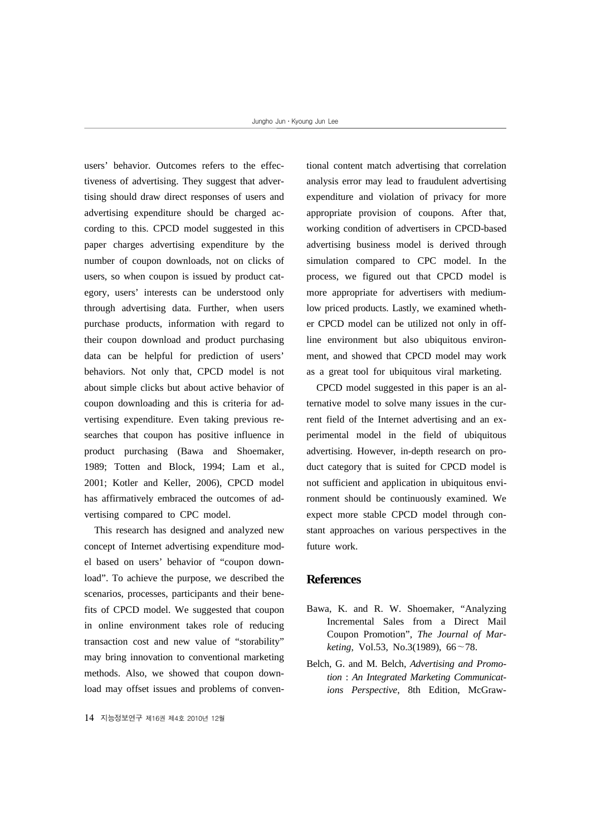users' behavior. Outcomes refers to the effectiveness of advertising. They suggest that advertising should draw direct responses of users and advertising expenditure should be charged according to this. CPCD model suggested in this paper charges advertising expenditure by the number of coupon downloads, not on clicks of users, so when coupon is issued by product category, users' interests can be understood only through advertising data. Further, when users purchase products, information with regard to their coupon download and product purchasing data can be helpful for prediction of users' behaviors. Not only that, CPCD model is not about simple clicks but about active behavior of coupon downloading and this is criteria for advertising expenditure. Even taking previous researches that coupon has positive influence in product purchasing (Bawa and Shoemaker, 1989; Totten and Block, 1994; Lam et al., 2001; Kotler and Keller, 2006), CPCD model has affirmatively embraced the outcomes of advertising compared to CPC model.

This research has designed and analyzed new concept of Internet advertising expenditure model based on users' behavior of "coupon download". To achieve the purpose, we described the scenarios, processes, participants and their benefits of CPCD model. We suggested that coupon in online environment takes role of reducing transaction cost and new value of "storability" may bring innovation to conventional marketing methods. Also, we showed that coupon download may offset issues and problems of conven-

14 지능정보연구 제16권 제4호 2010년 12월

tional content match advertising that correlation analysis error may lead to fraudulent advertising expenditure and violation of privacy for more appropriate provision of coupons. After that, working condition of advertisers in CPCD-based advertising business model is derived through simulation compared to CPC model. In the process, we figured out that CPCD model is more appropriate for advertisers with mediumlow priced products. Lastly, we examined whether CPCD model can be utilized not only in offline environment but also ubiquitous environment, and showed that CPCD model may work as a great tool for ubiquitous viral marketing.

CPCD model suggested in this paper is an alternative model to solve many issues in the current field of the Internet advertising and an experimental model in the field of ubiquitous advertising. However, in-depth research on product category that is suited for CPCD model is not sufficient and application in ubiquitous environment should be continuously examined. We expect more stable CPCD model through constant approaches on various perspectives in the future work.

#### **References**

- Bawa, K. and R. W. Shoemaker, "Analyzing Incremental Sales from a Direct Mail Coupon Promotion", *The Journal of Marketing*, Vol.53, No.3(1989), 66~78.
- Belch, G. and M. Belch, *Advertising and Promotion* : *An Integrated Marketing Communications Perspective*, 8th Edition, McGraw-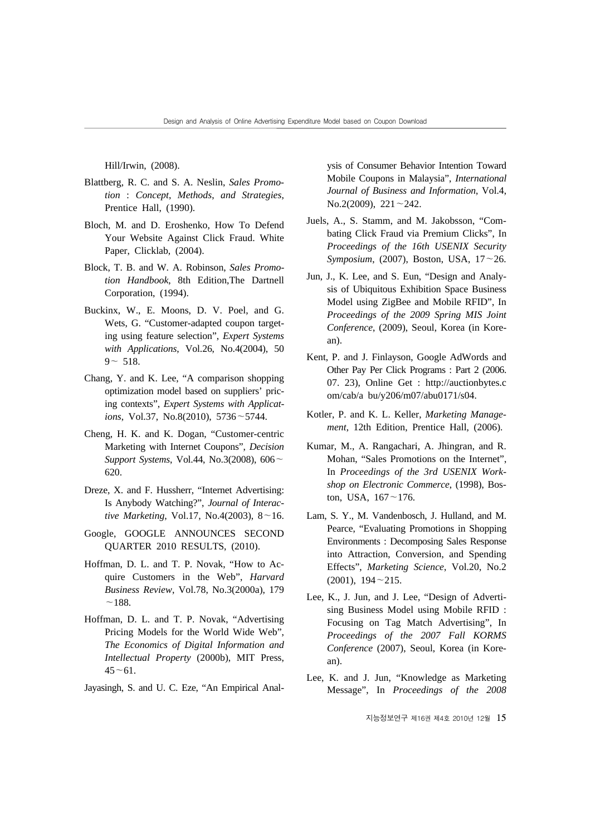Hill/Irwin, (2008).

- Blattberg, R. C. and S. A. Neslin, *Sales Promotion* : *Concept*, *Methods*, *and Strategies*, Prentice Hall, (1990).
- Bloch, M. and D. Eroshenko, How To Defend Your Website Against Click Fraud. White Paper, Clicklab, (2004).
- Block, T. B. and W. A. Robinson, *Sales Promotion Handbook*, 8th Edition,The Dartnell Corporation, (1994).
- Buckinx, W., E. Moons, D. V. Poel, and G. Wets, G. "Customer-adapted coupon targeting using feature selection", *Expert Systems with Applications*, Vol.26, No.4(2004), 50  $9 - 518$ .
- Chang, Y. and K. Lee, "A comparison shopping optimization model based on suppliers' pricing contexts", *Expert Systems with Applications*, Vol.37, No.8(2010), 5736~5744.
- Cheng, H. K. and K. Dogan, "Customer-centric Marketing with Internet Coupons", *Decision Support Systems*, Vol.44, No.3(2008), 606~ 620.
- Dreze, X. and F. Hussherr, "Internet Advertising: Is Anybody Watching?", *Journal of Interactive Marketing*, Vol.17, No.4(2003), 8~16.
- Google, GOOGLE ANNOUNCES SECOND QUARTER 2010 RESULTS, (2010).
- Hoffman, D. L. and T. P. Novak, "How to Acquire Customers in the Web", *Harvard Business Review*, Vol.78, No.3(2000a), 179  $~188.$
- Hoffman, D. L. and T. P. Novak, "Advertising Pricing Models for the World Wide Web", *The Economics of Digital Information and Intellectual Property* (2000b), MIT Press,  $45 - 61$ .

Jayasingh, S. and U. C. Eze, "An Empirical Anal-

ysis of Consumer Behavior Intention Toward Mobile Coupons in Malaysia", *International Journal of Business and Information*, Vol.4, No.2(2009),  $221 - 242$ .

- Juels, A., S. Stamm, and M. Jakobsson, "Combating Click Fraud via Premium Clicks", In *Proceedings of the 16th USENIX Security Symposium*, (2007), Boston, USA, 17~26.
- Jun, J., K. Lee, and S. Eun, "Design and Analysis of Ubiquitous Exhibition Space Business Model using ZigBee and Mobile RFID", In *Proceedings of the 2009 Spring MIS Joint Conference*, (2009), Seoul, Korea (in Korean).
- Kent, P. and J. Finlayson, Google AdWords and Other Pay Per Click Programs : Part 2 (2006. 07. 23), Online Get : http://auctionbytes.c om/cab/a bu/y206/m07/abu0171/s04.
- Kotler, P. and K. L. Keller, *Marketing Management*, 12th Edition, Prentice Hall, (2006).
- Kumar, M., A. Rangachari, A. Jhingran, and R. Mohan, "Sales Promotions on the Internet", In *Proceedings of the 3rd USENIX Workshop on Electronic Commerce*, (1998), Boston, USA,  $167 - 176$ .
- Lam, S. Y., M. Vandenbosch, J. Hulland, and M. Pearce, "Evaluating Promotions in Shopping Environments : Decomposing Sales Response into Attraction, Conversion, and Spending Effects", *Marketing Science*, Vol.20, No.2 (2001), 194~215.
- Lee, K., J. Jun, and J. Lee, "Design of Advertising Business Model using Mobile RFID : Focusing on Tag Match Advertising", In *Proceedings of the 2007 Fall KORMS Conference* (2007), Seoul, Korea (in Korean).
- Lee, K. and J. Jun, "Knowledge as Marketing Message", In *Proceedings of the 2008*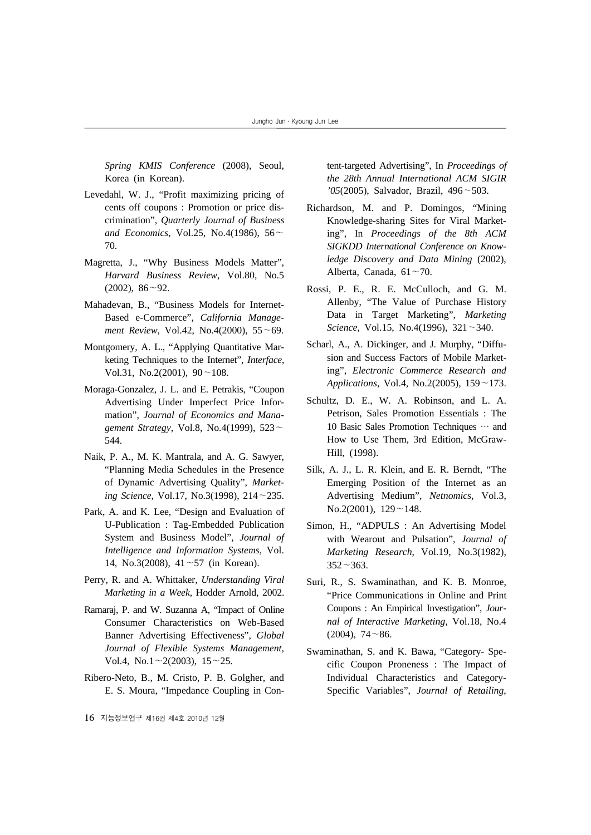*Spring KMIS Conference* (2008), Seoul, Korea (in Korean).

- Levedahl, W. J., "Profit maximizing pricing of cents off coupons : Promotion or price discrimination", *Quarterly Journal of Business and Economics*, Vol.25, No.4(1986), 56~ 70.
- Magretta, J., "Why Business Models Matter", *Harvard Business Review*, Vol.80, No.5  $(2002)$ ,  $86^{\sim}92$ .
- Mahadevan, B., "Business Models for Internet-Based e-Commerce", *California Management Review*, Vol.42, No.4(2000), 55~69.
- Montgomery, A. L., "Applying Quantitative Marketing Techniques to the Internet", *Interface*, Vol.31, No.2(2001),  $90 \sim 108$ .
- Moraga-Gonzalez, J. L. and E. Petrakis, "Coupon Advertising Under Imperfect Price Information", *Journal of Economics and Management Strategy*, Vol.8, No.4(1999), 523~ 544.
- Naik, P. A., M. K. Mantrala, and A. G. Sawyer, "Planning Media Schedules in the Presence of Dynamic Advertising Quality", *Marketing Science*, Vol.17, No.3(1998), 214~235.
- Park, A. and K. Lee, "Design and Evaluation of U-Publication : Tag-Embedded Publication System and Business Model", *Journal of Intelligence and Information Systems*, Vol. 14, No.3(2008), 41~57 (in Korean).
- Perry, R. and A. Whittaker, *Understanding Viral Marketing in a Week*, Hodder Arnold, 2002.
- Ramaraj, P. and W. Suzanna A, "Impact of Online Consumer Characteristics on Web-Based Banner Advertising Effectiveness", *Global Journal of Flexible Systems Management*, Vol.4, No.1 $\sim$ 2(2003), 15 $\sim$ 25.
- Ribero-Neto, B., M. Cristo, P. B. Golgher, and E. S. Moura, "Impedance Coupling in Con-

tent-targeted Advertising", In *Proceedings of the 28th Annual International ACM SIGIR '05*(2005), Salvador, Brazil, 496~503.

- Richardson, M. and P. Domingos, "Mining Knowledge-sharing Sites for Viral Marketing", In *Proceedings of the 8th ACM SIGKDD International Conference on Knowledge Discovery and Data Mining* (2002), Alberta, Canada, 61~70.
- Rossi, P. E., R. E. McCulloch, and G. M. Allenby, "The Value of Purchase History Data in Target Marketing", *Marketing Science*, Vol.15, No.4(1996), 321~340.
- Scharl, A., A. Dickinger, and J. Murphy, "Diffusion and Success Factors of Mobile Marketing", *Electronic Commerce Research and Applications*, Vol.4, No.2(2005), 159~173.
- Schultz, D. E., W. A. Robinson, and L. A. Petrison, Sales Promotion Essentials : The 10 Basic Sales Promotion Techniques … and How to Use Them, 3rd Edition, McGraw-Hill, (1998).
- Silk, A. J., L. R. Klein, and E. R. Berndt, "The Emerging Position of the Internet as an Advertising Medium", *Netnomics*, Vol.3, No.2(2001),  $129 - 148$ .
- Simon, H., "ADPULS : An Advertising Model with Wearout and Pulsation", *Journal of Marketing Research*, Vol.19, No.3(1982),  $352 - 363$ .
- Suri, R., S. Swaminathan, and K. B. Monroe, "Price Communications in Online and Print Coupons : An Empirical Investigation", *Journal of Interactive Marketing*, Vol.18, No.4  $(2004)$ , 74 ~ 86.
- Swaminathan, S. and K. Bawa, "Category- Specific Coupon Proneness : The Impact of Individual Characteristics and Category-Specific Variables", *Journal of Retailing*,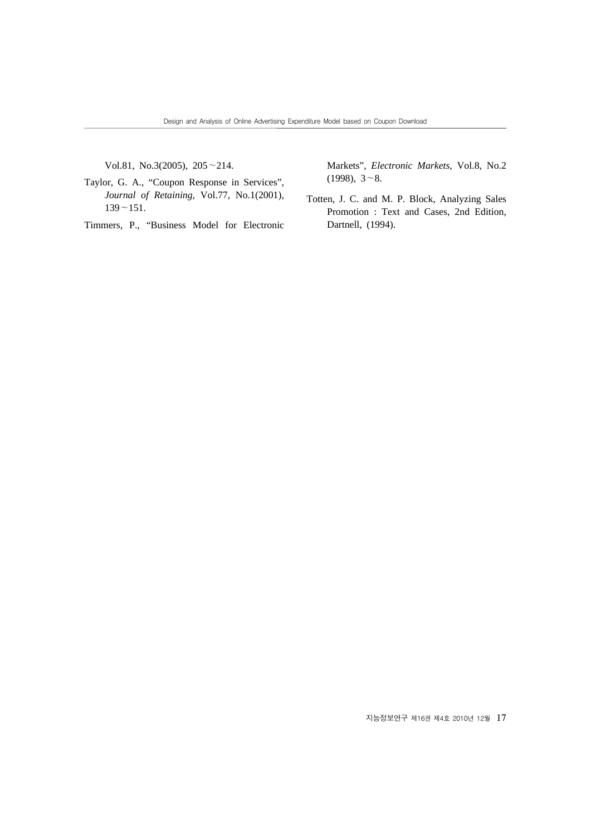Vol.81, No.3(2005), 205~214.

Taylor, G. A., "Coupon Response in Services", *Journal of Retaining*, Vol.77, No.1(2001),  $139 - 151$ .

Timmers, P., "Business Model for Electronic

Markets", *Electronic Markets*, Vol.8, No.2  $(1998), 3~8.$ 

Totten, J. C. and M. P. Block, Analyzing Sales Promotion : Text and Cases, 2nd Edition, Dartnell, (1994).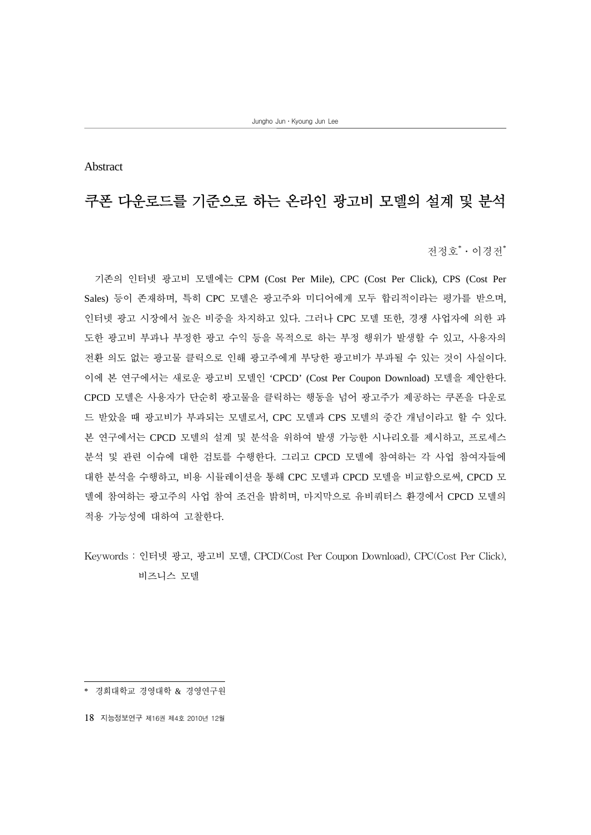Abstract

## 쿠폰 다운로드를 기준으로 하는 온라인 광고비 모델의 설계 및 분석

전정호\*ㆍ이경전\*

기존의 인터넷 광고비 모델에는 CPM (Cost Per Mile), CPC (Cost Per Click), CPS (Cost Per Sales) 등이 존재하며, 특히 CPC 모델은 광고주와 미디어에게 모두 합리적이라는 평가를 받으며, 인터넷 광고 시장에서 높은 비중을 차지하고 있다. 그러나 CPC 모델 또한, 경쟁 사업자에 의한 과 도한 광고비 부과나 부정한 광고 수익 등을 목적으로 하는 부정 행위가 발생할 수 있고, 사용자의 전환 의도 없는 광고물 클릭으로 인해 광고주에게 부당한 광고비가 부과될 수 있는 것이 사실이다. 이에 본 연구에서는 새로운 광고비 모델인 'CPCD' (Cost Per Coupon Download) 모델을 제안한다. CPCD 모델은 사용자가 단순히 광고물을 클릭하는 행동을 넘어 광고주가 제공하는 쿠폰을 다운로 드 받았을 때 광고비가 부과되는 모델로서, CPC 모델과 CPS 모델의 중간 개념이라고 할 수 있다. 본 연구에서는 CPCD 모델의 설계 및 분석을 위하여 발생 가능한 시나리오를 제시하고, 프로세스 분석 및 관련 이슈에 대한 검토를 수행한다. 그리고 CPCD 모델에 참여하는 각 사업 참여자들에 대한 분석을 수행하고, 비용 시뮬레이션을 통해 CPC 모델과 CPCD 모델을 비교함으로써, CPCD 모 델에 참여하는 광고주의 사업 참여 조건을 밝히며, 마지막으로 유비쿼터스 환경에서 CPCD 모델의 적용 가능성에 대하여 고찰한다.

Keywords : 인터넷 광고, 광고비 모델, CPCD(Cost Per Coupon Download), CPC(Cost Per Click), 비즈니스 모델

<sup>\*</sup> 경희대학교 경영대학 & 경영연구원

<sup>18</sup> 지능정보연구 제16권 제4호 2010년 12월